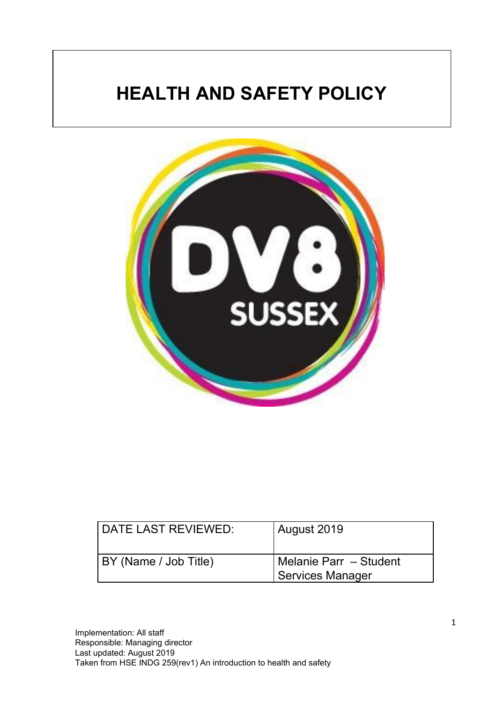# **HEALTH AND SAFETY POLICY**



| DATE LAST REVIEWED:   | August 2019                                |
|-----------------------|--------------------------------------------|
| BY (Name / Job Title) | Melanie Parr – Student<br>Services Manager |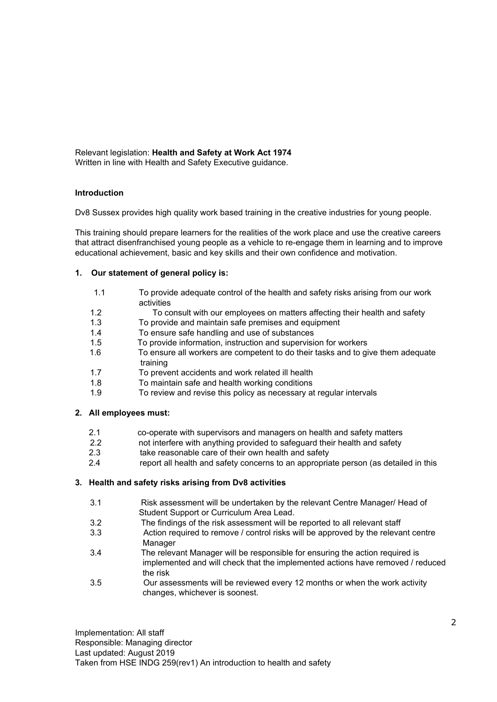Relevant legislation: **Health and Safety at Work Act 1974** Written in line with Health and Safety Executive guidance.

#### **Introduction**

Dv8 Sussex provides high quality work based training in the creative industries for young people.

This training should prepare learners for the realities of the work place and use the creative careers that attract disenfranchised young people as a vehicle to re-engage them in learning and to improve educational achievement, basic and key skills and their own confidence and motivation.

#### **1. Our statement of general policy is:**

- 1.1 To provide adequate control of the health and safety risks arising from our work activities
- 1.2 To consult with our employees on matters affecting their health and safety
- 1.3 To provide and maintain safe premises and equipment
- 1.4 To ensure safe handling and use of substances
- 1.5 To provide information, instruction and supervision for workers
- 1.6 To ensure all workers are competent to do their tasks and to give them adequate training
- 1.7 To prevent accidents and work related ill health
- 1.8 To maintain safe and health working conditions
- 1.9 To review and revise this policy as necessary at regular intervals

#### **2. All employees must:**

- 2.1 co-operate with supervisors and managers on health and safety matters
- 2.2 not interfere with anything provided to safeguard their health and safety
- 2.3 take reasonable care of their own health and safety
- 2.4 report all health and safety concerns to an appropriate person (as detailed in this

#### **3. Health and safety risks arising from Dv8 activities**

- 3.1 Risk assessment will be undertaken by the relevant Centre Manager/ Head of Student Support or Curriculum Area Lead.
- 3.2 The findings of the risk assessment will be reported to all relevant staff
- 3.3 Action required to remove / control risks will be approved by the relevant centre Manager
- 3.4 The relevant Manager will be responsible for ensuring the action required is implemented and will check that the implemented actions have removed / reduced the risk
- 3.5 Our assessments will be reviewed every 12 months or when the work activity changes, whichever is soonest.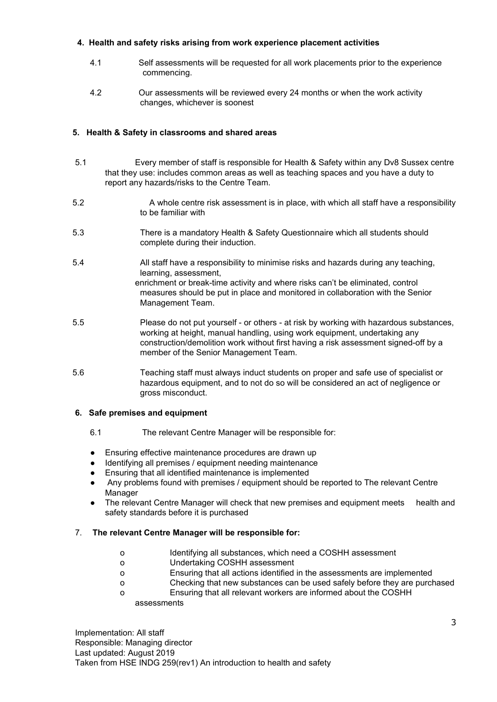# **4. Health and safety risks arising from work experience placement activities**

- 4.1 Self assessments will be requested for all work placements prior to the experience commencing.
- 4.2 Our assessments will be reviewed every 24 months or when the work activity changes, whichever is soonest

# **5. Health & Safety in classrooms and shared areas**

- 5.1 Every member of staff is responsible for Health & Safety within any Dv8 Sussex centre that they use: includes common areas as well as teaching spaces and you have a duty to report any hazards/risks to the Centre Team.
- 5.2 A whole centre risk assessment is in place, with which all staff have a responsibility to be familiar with
- 5.3 There is a mandatory Health & Safety Questionnaire which all students should complete during their induction.
- 5.4 All staff have a responsibility to minimise risks and hazards during any teaching, learning, assessment, enrichment or break-time activity and where risks can't be eliminated, control measures should be put in place and monitored in collaboration with the Senior Management Team.
- 5.5 Please do not put yourself or others at risk by working with hazardous substances, working at height, manual handling, using work equipment, undertaking any construction/demolition work without first having a risk assessment signed-off by a member of the Senior Management Team.
- 5.6 Teaching staff must always induct students on proper and safe use of specialist or hazardous equipment, and to not do so will be considered an act of negligence or gross misconduct.

## **6. Safe premises and equipment**

- 6.1 The relevant Centre Manager will be responsible for:
- Ensuring effective maintenance procedures are drawn up
- Identifying all premises / equipment needing maintenance
- Ensuring that all identified maintenance is implemented
- Any problems found with premises / equipment should be reported to The relevant Centre Manager
- The relevant Centre Manager will check that new premises and equipment meets health and safety standards before it is purchased

## 7. **The relevant Centre Manager will be responsible for:**

- o Identifying all substances, which need a COSHH assessment
- o Undertaking COSHH assessment
- o Ensuring that all actions identified in the assessments are implemented
- o Checking that new substances can be used safely before they are purchased
- o Ensuring that all relevant workers are informed about the COSHH assessments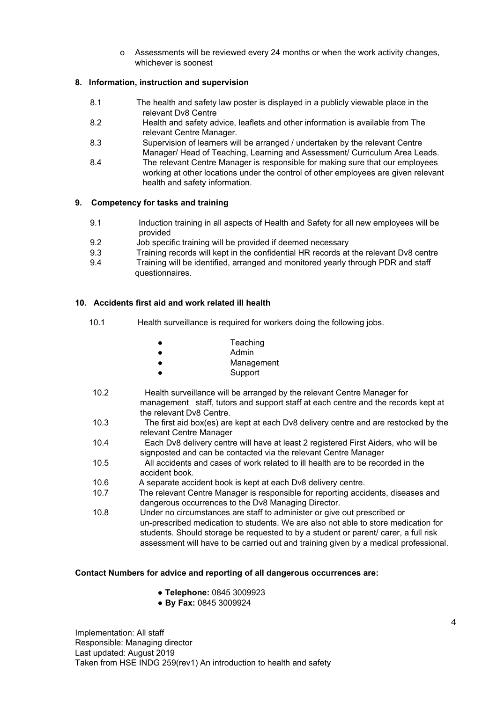o Assessments will be reviewed every 24 months or when the work activity changes, whichever is soonest

## **8. Information, instruction and supervision**

- 8.1 The health and safety law poster is displayed in a publicly viewable place in the relevant Dv8 Centre
- 8.2 Health and safety advice, leaflets and other information is available from The relevant Centre Manager.
- 8.3 Supervision of learners will be arranged / undertaken by the relevant Centre Manager/ Head of Teaching, Learning and Assessment/ Curriculum Area Leads.
- 8.4 The relevant Centre Manager is responsible for making sure that our employees working at other locations under the control of other employees are given relevant health and safety information.

# **9. Competency for tasks and training**

- 9.1 Induction training in all aspects of Health and Safety for all new employees will be provided
- 9.2 Job specific training will be provided if deemed necessary
- 9.3 Training records will kept in the confidential HR records at the relevant Dv8 centre
- 9.4 Training will be identified, arranged and monitored yearly through PDR and staff questionnaires.

# **10. Accidents first aid and work related ill health**

10.1 Health surveillance is required for workers doing the following jobs.

| Teaching   |
|------------|
| Admin      |
| Management |
| Support    |

- 10.2 Health surveillance will be arranged by the relevant Centre Manager for management staff, tutors and support staff at each centre and the records kept at the relevant Dv8 Centre.
- 10.3 The first aid box(es) are kept at each Dv8 delivery centre and are restocked by the relevant Centre Manager
- 10.4 Each Dv8 delivery centre will have at least 2 registered First Aiders, who will be signposted and can be contacted via the relevant Centre Manager
- 10.5 All accidents and cases of work related to ill health are to be recorded in the accident book.
- 10.6 A separate accident book is kept at each Dv8 delivery centre.
- 10.7 The relevant Centre Manager is responsible for reporting accidents, diseases and dangerous occurrences to the Dv8 Managing Director.
- 10.8 Under no circumstances are staff to administer or give out prescribed or un-prescribed medication to students. We are also not able to store medication for students. Should storage be requested to by a student or parent/ carer, a full risk assessment will have to be carried out and training given by a medical professional.

## **Contact Numbers for advice and reporting of all dangerous occurrences are:**

- **Telephone:** 0845 3009923
- **By Fax:** 0845 3009924